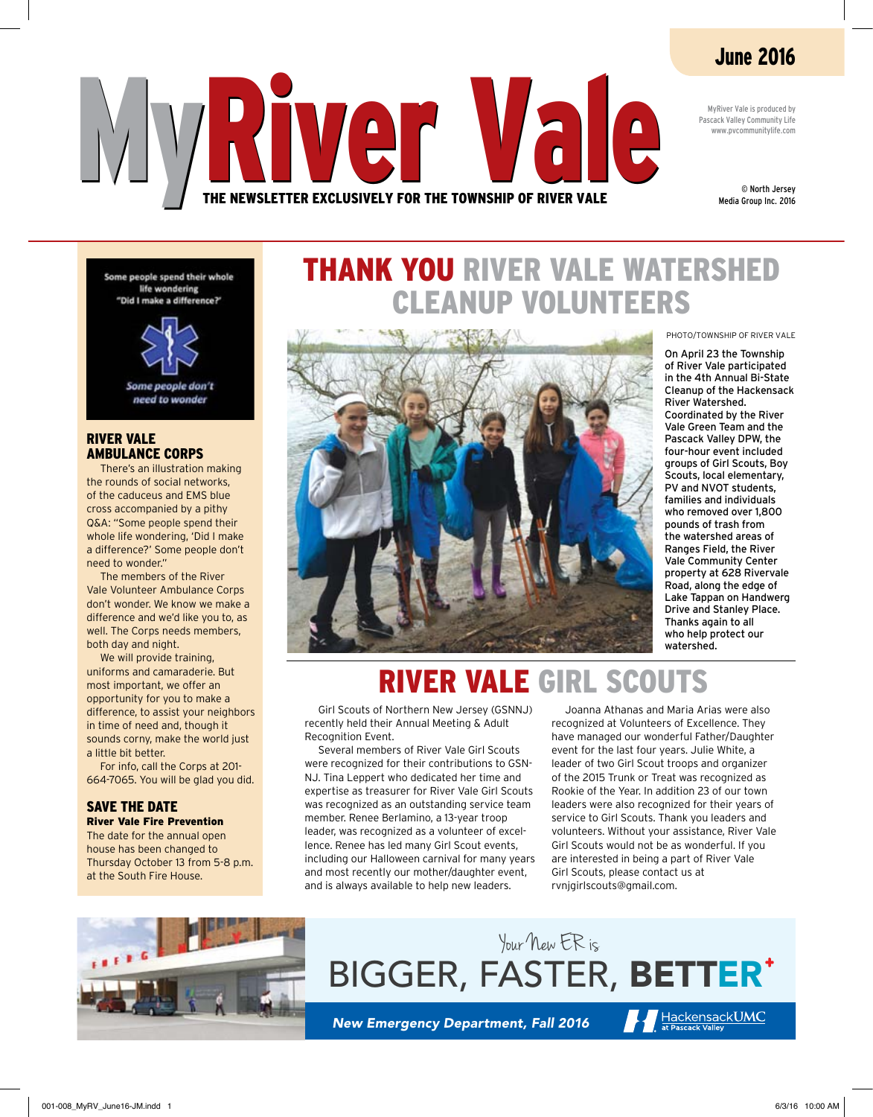### June 2016

MyRiver Vale is produced by Pascack Valley Community Life www.pvcommunitylife.com

> © North Jersey Media Group Inc. 2016

Some people spend their whole life wondering "Did I make a difference?"



Some people don't need to wonder

### River Vale Ambulance Corps

There's an illustration making the rounds of social networks, of the caduceus and EMS blue cross accompanied by a pithy Q&A: "Some people spend their whole life wondering, 'Did I make a difference?' Some people don't need to wonder."

The members of the River Vale Volunteer Ambulance Corps don't wonder. We know we make a difference and we'd like you to, as well. The Corps needs members, both day and night.

We will provide training, uniforms and camaraderie. But most important, we offer an opportunity for you to make a difference, to assist your neighbors in time of need and, though it sounds corny, make the world just a little bit better.

For info, call the Corps at 201- 664-7065. You will be glad you did.

### SAVE THE DATE River Vale Fire Prevention

The date for the annual open house has been changed to Thursday October 13 from 5-8 p.m. at the South Fire House.

### Thank you River Vale watershed cleanup volunteers



PHOTO/TOWNSHIP OF RIVER VALE

On April 23 the Township of River Vale participated in the 4th Annual Bi-State Cleanup of the Hackensack River Watershed. Coordinated by the River Vale Green Team and the Pascack Valley DPW, the four-hour event included groups of Girl Scouts, Boy Scouts, local elementary, PV and NVOT students, families and individuals who removed over 1,800 pounds of trash from the watershed areas of Ranges Field, the River Vale Community Center property at 628 Rivervale Road, along the edge of Lake Tappan on Handwerg Drive and Stanley Place. Thanks again to all who help protect our watershed.

### River Vale Girl Scouts

Girl Scouts of Northern New Jersey (GSNNJ) recently held their Annual Meeting & Adult Recognition Event.

**MART Vale** 

he Newsletter Exclusively for the Township of Rive

Several members of River Vale Girl Scouts were recognized for their contributions to GSN-NJ. Tina Leppert who dedicated her time and expertise as treasurer for River Vale Girl Scouts was recognized as an outstanding service team member. Renee Berlamino, a 13-year troop leader, was recognized as a volunteer of excellence. Renee has led many Girl Scout events, including our Halloween carnival for many years and most recently our mother/daughter event, and is always available to help new leaders.

Joanna Athanas and Maria Arias were also recognized at Volunteers of Excellence. They have managed our wonderful Father/Daughter event for the last four years. Julie White, a leader of two Girl Scout troops and organizer of the 2015 Trunk or Treat was recognized as Rookie of the Year. In addition 23 of our town leaders were also recognized for their years of service to Girl Scouts. Thank you leaders and volunteers. Without your assistance, River Vale Girl Scouts would not be as wonderful. If you are interested in being a part of River Vale Girl Scouts, please contact us at rvnjgirlscouts@gmail.com.

HackensackUMC



### BIGGER, FASTER, BETTER Your New ER is

*New Emergency Department, Fall 2016*

001-008\_MyRV\_June16-JM.indd 1 6/3/16 10:00 AM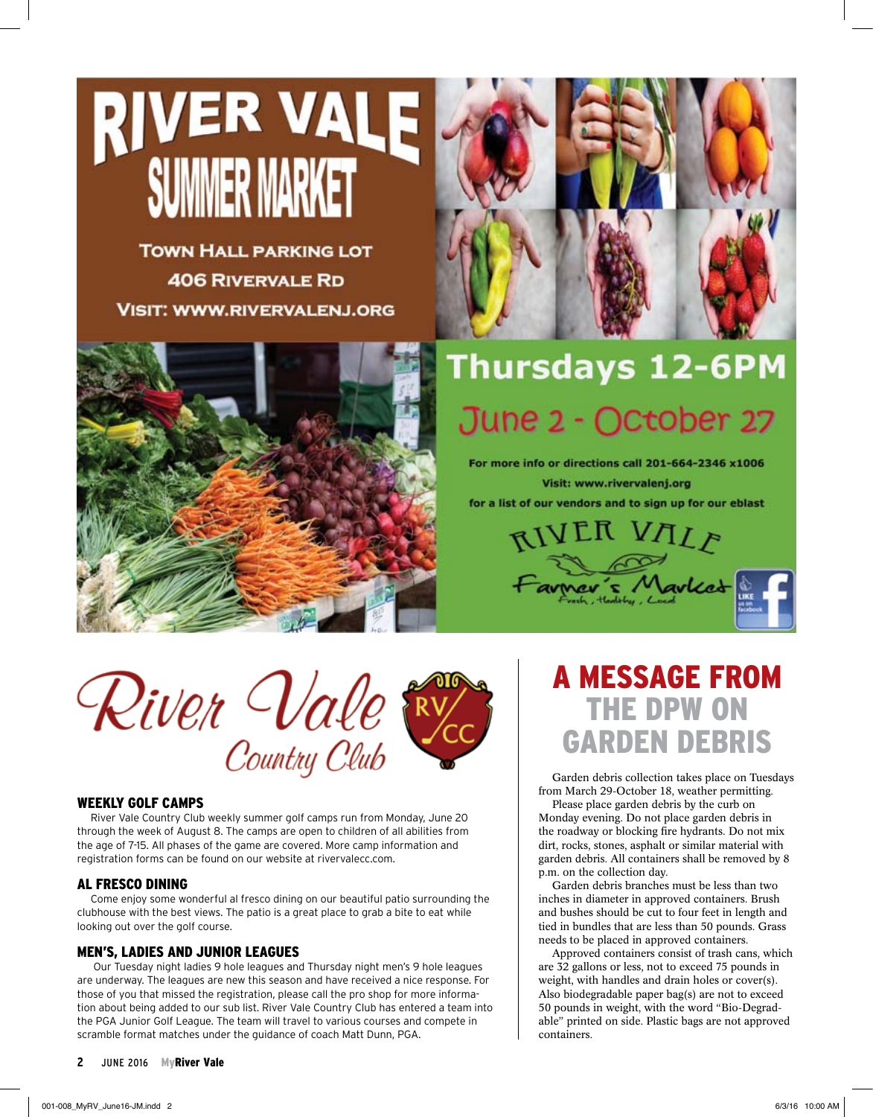# **RIVER VALE** IMMER MARKET

**TOWN HALL PARKING LOT 406 RIVERVALE RD VISIT: WWW.RIVERVALENJ.ORG** 



## Thursdays 12-6PM June 2 - October 27

For more info or directions call 201-664-2346 x1006 **Visit: www.rivervalenj.org** 

for a list of our vendors and to sign up for our eblast





### Weekly golf camps

River Vale Country Club weekly summer golf camps run from Monday, June 20 through the week of August 8. The camps are open to children of all abilities from the age of 7-15. All phases of the game are covered. More camp information and registration forms can be found on our website at rivervalecc.com.

### Al fresco dining

Come enjoy some wonderful al fresco dining on our beautiful patio surrounding the clubhouse with the best views. The patio is a great place to grab a bite to eat while looking out over the golf course.

### Men's, Ladies and Junior Leagues

 Our Tuesday night ladies 9 hole leagues and Thursday night men's 9 hole leagues are underway. The leagues are new this season and have received a nice response. For those of you that missed the registration, please call the pro shop for more information about being added to our sub list. River Vale Country Club has entered a team into the PGA Junior Golf League. The team will travel to various courses and compete in scramble format matches under the guidance of coach Matt Dunn, PGA.

#### **2** june 2016 MyRiver Vale

A message from the DPW on garden debris

Garden debris collection takes place on Tuesdays from March 29-October 18, weather permitting.

Please place garden debris by the curb on Monday evening. Do not place garden debris in the roadway or blocking fire hydrants. Do not mix dirt, rocks, stones, asphalt or similar material with garden debris. All containers shall be removed by 8 p.m. on the collection day.

Garden debris branches must be less than two inches in diameter in approved containers. Brush and bushes should be cut to four feet in length and tied in bundles that are less than 50 pounds. Grass needs to be placed in approved containers.

Approved containers consist of trash cans, which are 32 gallons or less, not to exceed 75 pounds in weight, with handles and drain holes or cover(s). Also biodegradable paper bag(s) are not to exceed 50 pounds in weight, with the word "Bio-Degradable" printed on side. Plastic bags are not approved containers.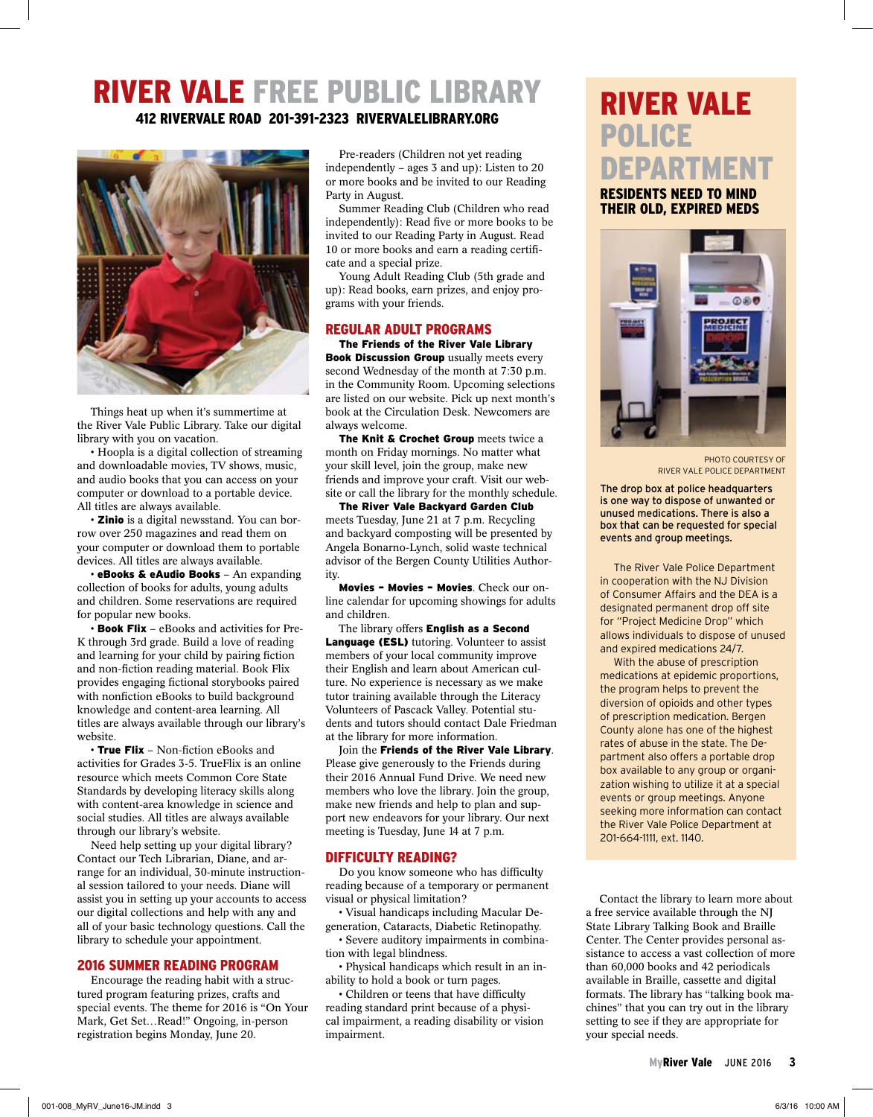### River Vale Free Public Library

412 Rivervale Road 201-391-2323 rivervalelibrary.org



Things heat up when it's summertime at the River Vale Public Library. Take our digital library with you on vacation.

• Hoopla is a digital collection of streaming and downloadable movies, TV shows, music, and audio books that you can access on your computer or download to a portable device. All titles are always available.

• Zinio is a digital newsstand. You can borrow over 250 magazines and read them on your computer or download them to portable devices. All titles are always available.

• eBooks & eAudio Books - An expanding collection of books for adults, young adults and children. Some reservations are required for popular new books.

• Book Flix – eBooks and activities for Pre-K through 3rd grade. Build a love of reading and learning for your child by pairing fiction and non-fiction reading material. Book Flix provides engaging fictional storybooks paired with nonfiction eBooks to build background knowledge and content-area learning. All titles are always available through our library's website.

• True Flix - Non-fiction eBooks and activities for Grades 3-5. TrueFlix is an online resource which meets Common Core State Standards by developing literacy skills along with content-area knowledge in science and social studies. All titles are always available through our library's website.

Need help setting up your digital library? Contact our Tech Librarian, Diane, and arrange for an individual, 30-minute instructional session tailored to your needs. Diane will assist you in setting up your accounts to access our digital collections and help with any and all of your basic technology questions. Call the library to schedule your appointment.

#### 2016 Summer Reading Program

Encourage the reading habit with a structured program featuring prizes, crafts and special events. The theme for 2016 is "On Your Mark, Get Set…Read!" Ongoing, in-person registration begins Monday, June 20.

Pre-readers (Children not yet reading independently – ages 3 and up): Listen to 20 or more books and be invited to our Reading Party in August.

Summer Reading Club (Children who read independently): Read five or more books to be invited to our Reading Party in August. Read 10 or more books and earn a reading certificate and a special prize.

Young Adult Reading Club (5th grade and up): Read books, earn prizes, and enjoy programs with your friends.

### Regular Adult Programs

The Friends of the River Vale Library **Book Discussion Group** usually meets every second Wednesday of the month at 7:30 p.m. in the Community Room. Upcoming selections are listed on our website. Pick up next month's book at the Circulation Desk. Newcomers are always welcome.

The Knit & Crochet Group meets twice a month on Friday mornings. No matter what your skill level, join the group, make new friends and improve your craft. Visit our website or call the library for the monthly schedule.

The River Vale Backyard Garden Club meets Tuesday, June 21 at 7 p.m. Recycling and backyard composting will be presented by Angela Bonarno-Lynch, solid waste technical advisor of the Bergen County Utilities Authority.

Movies – Movies – Movies. Check our online calendar for upcoming showings for adults and children.

The library offers English as a Second Language (ESL) tutoring. Volunteer to assist members of your local community improve their English and learn about American culture. No experience is necessary as we make tutor training available through the Literacy Volunteers of Pascack Valley. Potential students and tutors should contact Dale Friedman at the library for more information.

Join the Friends of the River Vale Library. Please give generously to the Friends during their 2016 Annual Fund Drive. We need new members who love the library. Join the group, make new friends and help to plan and support new endeavors for your library. Our next meeting is Tuesday, June 14 at 7 p.m.

#### Difficulty Reading?

Do you know someone who has difficulty reading because of a temporary or permanent visual or physical limitation?

• Visual handicaps including Macular Degeneration, Cataracts, Diabetic Retinopathy. • Severe auditory impairments in combina-

tion with legal blindness.

• Physical handicaps which result in an inability to hold a book or turn pages.

• Children or teens that have difficulty reading standard print because of a physical impairment, a reading disability or vision impairment.

### River Vale Police Department

Residents need to mind their Old, Expired meds



PHOTO COURTESY OF RIVER VALE POLICE DEPARTMENT

The drop box at police headquarters is one way to dispose of unwanted or unused medications. There is also a box that can be requested for special events and group meetings.

The River Vale Police Department in cooperation with the NJ Division of Consumer Affairs and the DEA is a designated permanent drop off site for "Project Medicine Drop" which allows individuals to dispose of unused and expired medications 24/7.

With the abuse of prescription medications at epidemic proportions, the program helps to prevent the diversion of opioids and other types of prescription medication. Bergen County alone has one of the highest rates of abuse in the state. The Department also offers a portable drop box available to any group or organization wishing to utilize it at a special events or group meetings. Anyone seeking more information can contact the River Vale Police Department at 201-664-1111, ext. 1140.

Contact the library to learn more about a free service available through the NJ State Library Talking Book and Braille Center. The Center provides personal assistance to access a vast collection of more than 60,000 books and 42 periodicals available in Braille, cassette and digital formats. The library has "talking book machines" that you can try out in the library setting to see if they are appropriate for your special needs.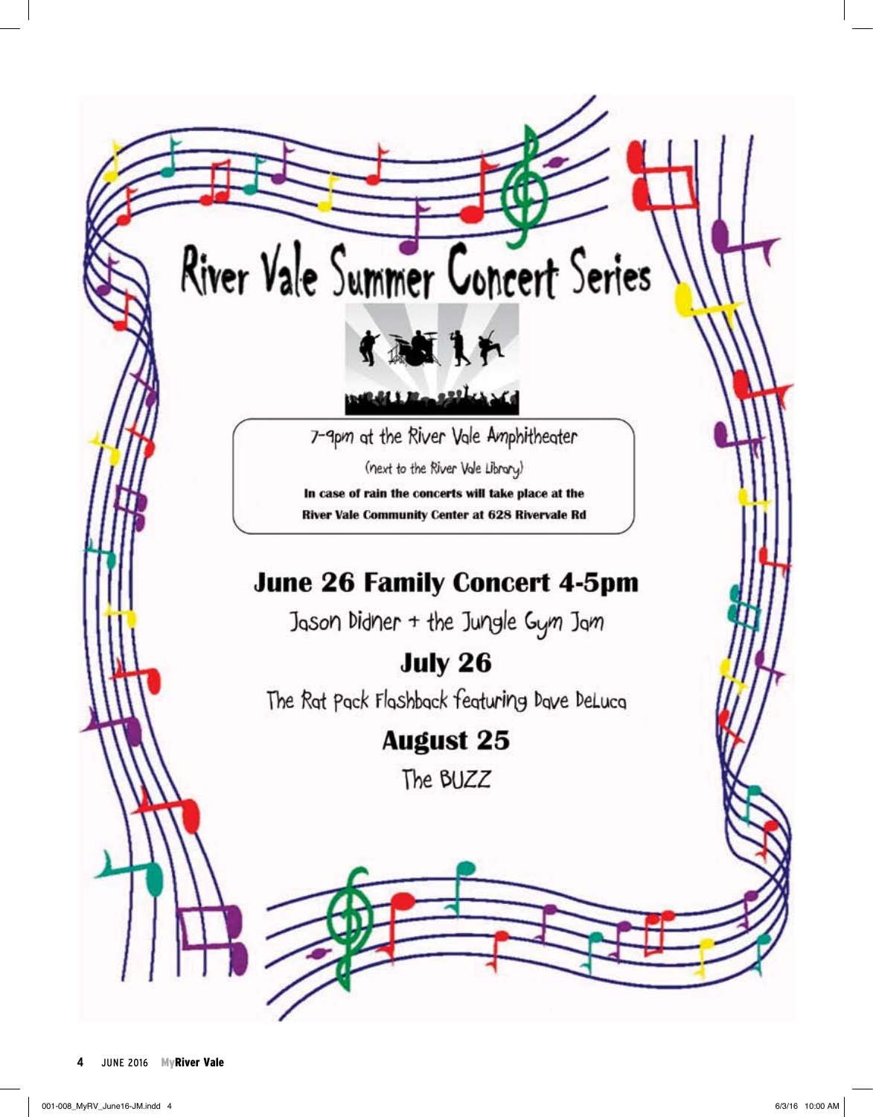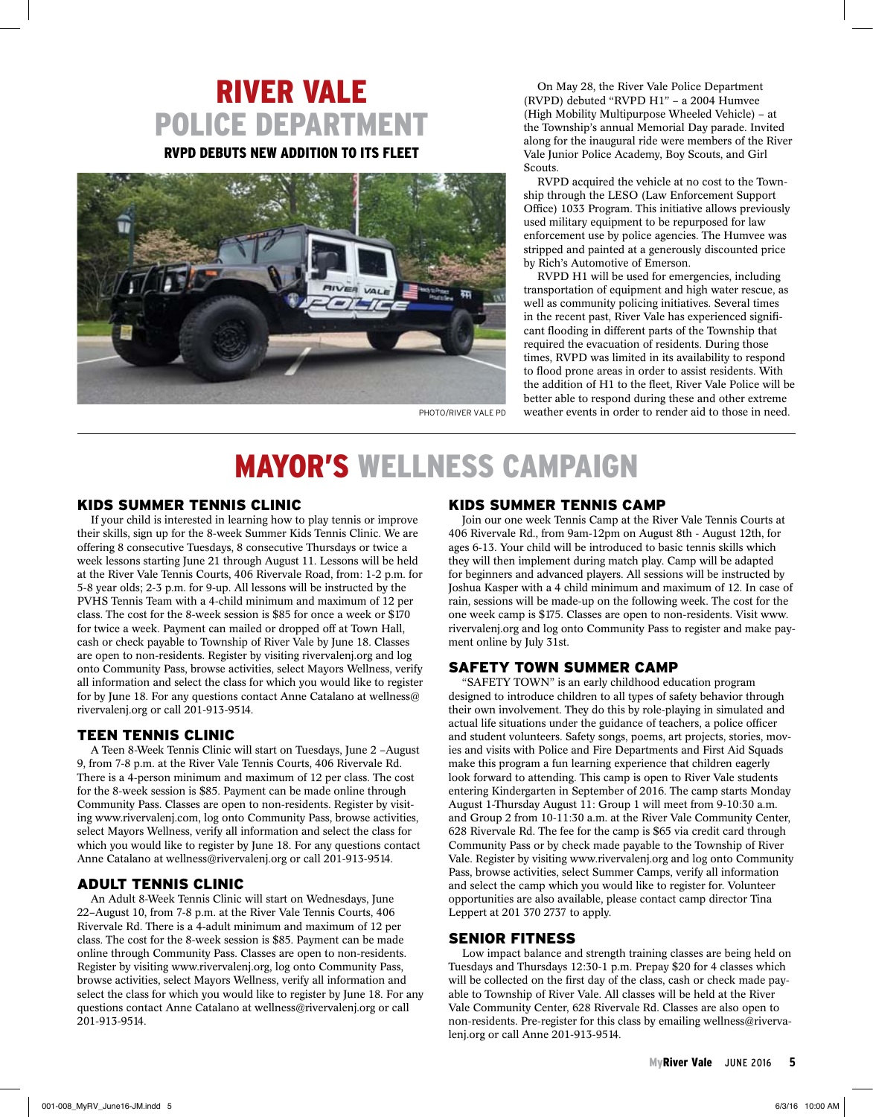### River Vale Police Department RVPD debuts new addition to its fleet



On May 28, the River Vale Police Department (RVPD) debuted "RVPD H1" – a 2004 Humvee (High Mobility Multipurpose Wheeled Vehicle) – at the Township's annual Memorial Day parade. Invited along for the inaugural ride were members of the River Vale Junior Police Academy, Boy Scouts, and Girl **Scouts**.

RVPD acquired the vehicle at no cost to the Township through the LESO (Law Enforcement Support Office) 1033 Program. This initiative allows previously used military equipment to be repurposed for law enforcement use by police agencies. The Humvee was stripped and painted at a generously discounted price by Rich's Automotive of Emerson.

RVPD H1 will be used for emergencies, including transportation of equipment and high water rescue, as well as community policing initiatives. Several times in the recent past, River Vale has experienced significant flooding in different parts of the Township that required the evacuation of residents. During those times, RVPD was limited in its availability to respond to flood prone areas in order to assist residents. With the addition of H1 to the fleet, River Vale Police will be better able to respond during these and other extreme PHOTO/RIVER VALE PD weather events in order to render aid to those in need.

### mayor's wellness campaign

#### Kids Summer Tennis Clinic

If your child is interested in learning how to play tennis or improve their skills, sign up for the 8-week Summer Kids Tennis Clinic. We are offering 8 consecutive Tuesdays, 8 consecutive Thursdays or twice a week lessons starting June 21 through August 11. Lessons will be held at the River Vale Tennis Courts, 406 Rivervale Road, from: 1-2 p.m. for 5-8 year olds; 2-3 p.m. for 9-up. All lessons will be instructed by the PVHS Tennis Team with a 4-child minimum and maximum of 12 per class. The cost for the 8-week session is \$85 for once a week or \$170 for twice a week. Payment can mailed or dropped off at Town Hall, cash or check payable to Township of River Vale by June 18. Classes are open to non-residents. Register by visiting rivervalenj.org and log onto Community Pass, browse activities, select Mayors Wellness, verify all information and select the class for which you would like to register for by June 18. For any questions contact Anne Catalano at wellness@ rivervalenj.org or call 201-913-9514.

### Teen Tennis Clinic

A Teen 8-Week Tennis Clinic will start on Tuesdays, June 2 –August 9, from 7-8 p.m. at the River Vale Tennis Courts, 406 Rivervale Rd. There is a 4-person minimum and maximum of 12 per class. The cost for the 8-week session is \$85. Payment can be made online through Community Pass. Classes are open to non-residents. Register by visiting www.rivervalenj.com, log onto Community Pass, browse activities, select Mayors Wellness, verify all information and select the class for which you would like to register by June 18. For any questions contact Anne Catalano at wellness@rivervalenj.org or call 201-913-9514.

#### Adult Tennis Clinic

An Adult 8-Week Tennis Clinic will start on Wednesdays, June 22–August 10, from 7-8 p.m. at the River Vale Tennis Courts, 406 Rivervale Rd. There is a 4-adult minimum and maximum of 12 per class. The cost for the 8-week session is \$85. Payment can be made online through Community Pass. Classes are open to non-residents. Register by visiting www.rivervalenj.org, log onto Community Pass, browse activities, select Mayors Wellness, verify all information and select the class for which you would like to register by June 18. For any questions contact Anne Catalano at wellness@rivervalenj.org or call 201-913-9514.

#### Kids Summer Tennis Camp

Join our one week Tennis Camp at the River Vale Tennis Courts at 406 Rivervale Rd., from 9am-12pm on August 8th - August 12th, for ages 6-13. Your child will be introduced to basic tennis skills which they will then implement during match play. Camp will be adapted for beginners and advanced players. All sessions will be instructed by Joshua Kasper with a 4 child minimum and maximum of 12. In case of rain, sessions will be made-up on the following week. The cost for the one week camp is \$175. Classes are open to non-residents. Visit www. rivervalenj.org and log onto Community Pass to register and make payment online by July 31st.

### Safety Town Summer Camp

"SAFETY TOWN" is an early childhood education program designed to introduce children to all types of safety behavior through their own involvement. They do this by role-playing in simulated and actual life situations under the guidance of teachers, a police officer and student volunteers. Safety songs, poems, art projects, stories, movies and visits with Police and Fire Departments and First Aid Squads make this program a fun learning experience that children eagerly look forward to attending. This camp is open to River Vale students entering Kindergarten in September of 2016. The camp starts Monday August 1-Thursday August 11: Group 1 will meet from 9-10:30 a.m. and Group 2 from 10-11:30 a.m. at the River Vale Community Center, 628 Rivervale Rd. The fee for the camp is \$65 via credit card through Community Pass or by check made payable to the Township of River Vale. Register by visiting www.rivervalenj.org and log onto Community Pass, browse activities, select Summer Camps, verify all information and select the camp which you would like to register for. Volunteer opportunities are also available, please contact camp director Tina Leppert at 201 370 2737 to apply.

#### Senior Fitness

Low impact balance and strength training classes are being held on Tuesdays and Thursdays 12:30-1 p.m. Prepay \$20 for 4 classes which will be collected on the first day of the class, cash or check made payable to Township of River Vale. All classes will be held at the River Vale Community Center, 628 Rivervale Rd. Classes are also open to non-residents. Pre-register for this class by emailing wellness@rivervalenj.org or call Anne 201-913-9514.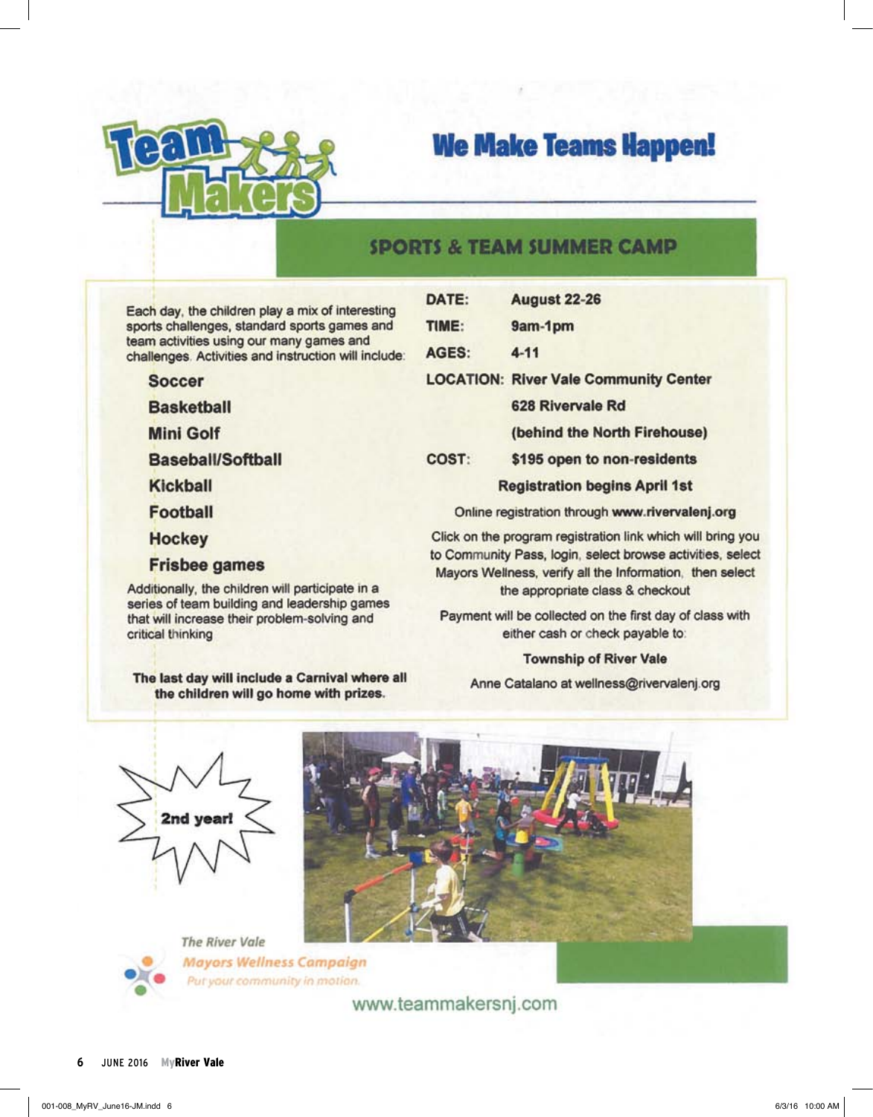

### **We Make Teams Happen!**

### **SPORTS & TEAM SUMMER CAMP**

Each day, the children play a mix of interesting sports challenges, standard sports games and team activities using our many games and challenges. Activities and instruction will include

**Soccer** 

**Basketball** 

**Mini Golf** 

**Baseball/Softball** 

Kickball

**Football** 

**Hockey** 

**Frisbee games** 

Additionally, the children will participate in a series of team building and leadership games that will increase their problem-solving and critical thinking

The last day will include a Carnival where all the children will go home with prizes.

|    | DATE: | <b>August 22-26</b>                                                                                                                                                                   |
|----|-------|---------------------------------------------------------------------------------------------------------------------------------------------------------------------------------------|
|    | TIME: | 9am-1pm                                                                                                                                                                               |
| Ŧ. | AGES: | $4 - 11$                                                                                                                                                                              |
|    |       | <b>LOCATION: River Vale Community Center</b>                                                                                                                                          |
|    |       | 628 Rivervale Rd                                                                                                                                                                      |
|    |       | (behind the North Firehouse)                                                                                                                                                          |
|    | COST: | \$195 open to non-residents                                                                                                                                                           |
|    |       | <b>Registration begins April 1st</b>                                                                                                                                                  |
|    |       | Online registration through www.rivervalenj.org                                                                                                                                       |
|    |       | Click on the program registration link which will bring you<br>to Community Pass, login, select browse activities, select<br>Mayors Wellness, verify all the Information, then select |

the appropriate class & checkout

Payment will be collected on the first day of class with either cash or check payable to:

### **Township of River Vale**

Anne Catalano at wellness@rivervalenj.org





**Mayors Wellness Campaign** Put your community in motion.

www.teammakersnj.com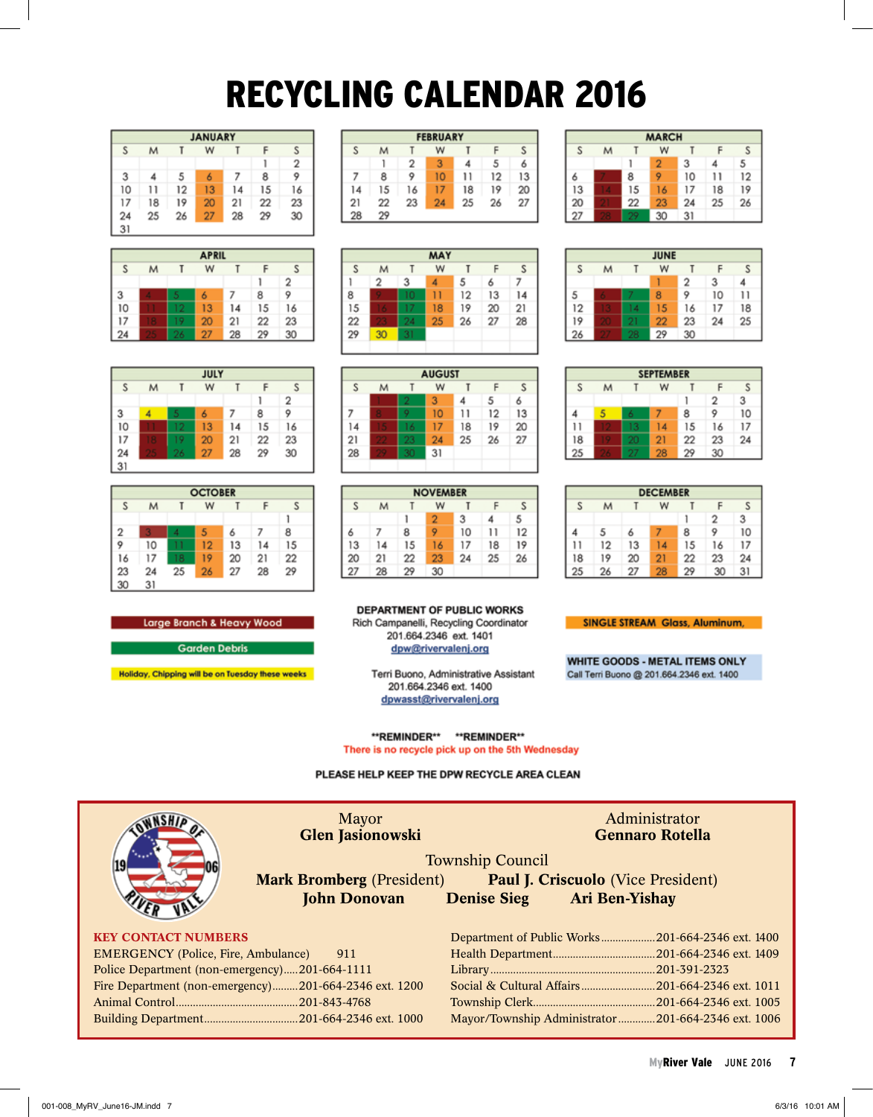## RECYCLING CALENDAR 2016

|    | <b>JANUARY</b> |    |    |    |    |    |  |  |  |  |  |
|----|----------------|----|----|----|----|----|--|--|--|--|--|
| S  | M              |    | W  |    |    | S  |  |  |  |  |  |
|    |                |    |    |    |    | 2  |  |  |  |  |  |
| 3  | 4              | 5  | 6  |    | 8  | 9  |  |  |  |  |  |
| 10 | 11             | 12 | 13 | 14 | 15 | 16 |  |  |  |  |  |
| 17 | 18             | 19 | 20 | 21 | 22 | 23 |  |  |  |  |  |
| 24 | 25             | 26 | 27 | 28 | 29 | 30 |  |  |  |  |  |
| 31 |                |    |    |    |    |    |  |  |  |  |  |

| <b>APRIL</b>     |  |   |    |    |    |                |  |  |  |
|------------------|--|---|----|----|----|----------------|--|--|--|
| W<br>S<br>S<br>M |  |   |    |    |    |                |  |  |  |
|                  |  |   |    |    |    | $\overline{2}$ |  |  |  |
| 3                |  | 5 | 6  |    | 8  |                |  |  |  |
| 10               |  |   | 13 | 14 | 15 | 16             |  |  |  |
| 17               |  | 9 | 20 | 21 | 22 | 23             |  |  |  |
| 24               |  | 6 | 27 | 28 | 29 | 30             |  |  |  |

| JULY |    |    |    |    |    |    |  |  |  |  |
|------|----|----|----|----|----|----|--|--|--|--|
|      | М  |    | W  |    |    | S  |  |  |  |  |
|      |    |    |    |    |    | 2  |  |  |  |  |
|      | 4  | 5  |    |    | 8  |    |  |  |  |  |
| 10   |    |    | 13 | 14 | 15 | 16 |  |  |  |  |
| 17   | ß  | 9  | 20 | 21 | 22 | 23 |  |  |  |  |
| 24   | r, | 26 | 27 | 28 | 29 | 30 |  |  |  |  |
| 31   |    |    |    |    |    |    |  |  |  |  |

|                  | <b>OCTOBER</b> |    |    |    |    |    |  |  |  |  |  |
|------------------|----------------|----|----|----|----|----|--|--|--|--|--|
| S<br>S<br>W<br>M |                |    |    |    |    |    |  |  |  |  |  |
|                  |                |    |    |    |    |    |  |  |  |  |  |
| $\overline{c}$   | ٦              | Δ  | 5  | 6  |    | 8  |  |  |  |  |  |
|                  | 10             |    | 12 | 13 | 14 | 15 |  |  |  |  |  |
| 16               | 17             | 8  | 19 | 20 | 21 | 22 |  |  |  |  |  |
| 23               | 24             | 25 | 26 | 27 | 28 | 29 |  |  |  |  |  |
| 30               | 31             |    |    |    |    |    |  |  |  |  |  |

**FEBRUARY** S M T W T F s  $\overline{2}$ 3 5 4 6 1  $\overline{7}$  $\mathbf{11}$ 8 9  $10<sub>10</sub>$  $12$ 13  $14$ 15 16  $17$ 18 19 20 23  $21$ 22  $24$ 25 26 27  $28\,$ 29



|        | <b>AUGUST</b> |    |    |    |    |    |  |  |  |  |  |
|--------|---------------|----|----|----|----|----|--|--|--|--|--|
| W<br>М |               |    |    |    |    |    |  |  |  |  |  |
|        |               |    | 3  |    | 5  |    |  |  |  |  |  |
|        |               |    | 10 |    | 12 | 13 |  |  |  |  |  |
|        | G             | 16 | 17 | 18 | 19 | 20 |  |  |  |  |  |
| 21     |               |    | 24 | 25 | 26 | 27 |  |  |  |  |  |
| 28     |               |    | 31 |    |    |    |  |  |  |  |  |
|        |               |    |    |    |    |    |  |  |  |  |  |

| <b>NOVEMBER</b>  |    |    |    |    |    |    |  |  |  |
|------------------|----|----|----|----|----|----|--|--|--|
| S<br>S<br>W<br>М |    |    |    |    |    |    |  |  |  |
|                  |    |    | 2  | 3  |    | 5  |  |  |  |
|                  |    | 8  |    | 10 | 11 | 12 |  |  |  |
| 13               | 14 | 15 | 16 | 17 | 18 | 19 |  |  |  |
| 20               | 21 | 22 | 23 | 24 | 25 | 26 |  |  |  |
|                  | 28 | 29 | 30 |    |    |    |  |  |  |

**DEPARTMENT OF PUBLIC WORKS** Rich Campanelli, Recycling Coordinator 201.664.2346 ext. 1401 dpw@rivervalenj.org

> Terri Buono, Administrative Assistant 201.664.2346 ext. 1400 dpwasst@rivervalenj.org

\*\*REMINDER\*\* \*\*REMINDER\*\* There is no recycle pick up on the 5th Wednesday

PLEASE HELP KEEP THE DPW RECYCLE AREA CLEAN

|                                               | <b>Mayor</b><br><b>Glen Jasionowski</b>               | Administrator<br><b>Gennaro Rotella</b>            |  |  |
|-----------------------------------------------|-------------------------------------------------------|----------------------------------------------------|--|--|
| 119                                           |                                                       | <b>Township Council</b>                            |  |  |
|                                               | <b>Mark Bromberg</b> (President)                      | <b>Paul J. Criscuolo</b> (Vice President)          |  |  |
|                                               | <b>John Donovan</b>                                   | <b>Denise Sieg</b><br><b>Ari Ben-Yishay</b>        |  |  |
|                                               |                                                       |                                                    |  |  |
| <b>KEY CONTACT NUMBERS</b>                    |                                                       |                                                    |  |  |
| <b>EMERGENCY</b> (Police, Fire, Ambulance)    | 911                                                   |                                                    |  |  |
| Police Department (non-emergency)201-664-1111 |                                                       |                                                    |  |  |
|                                               | Fire Department (non-emergency)201-664-2346 ext. 1200 |                                                    |  |  |
|                                               |                                                       |                                                    |  |  |
|                                               |                                                       | Mayor/Township Administrator201-664-2346 ext. 1006 |  |  |
|                                               |                                                       |                                                    |  |  |

| <b>MARCH</b>     |  |    |    |    |    |    |  |  |  |
|------------------|--|----|----|----|----|----|--|--|--|
| S<br>Ś<br>W<br>м |  |    |    |    |    |    |  |  |  |
|                  |  |    | 2  | 3  | 4  | 5  |  |  |  |
| m                |  | 8  | 9  | 10 | 1  | 12 |  |  |  |
| 13               |  | 15 | 16 | 17 | 18 | 19 |  |  |  |
| 20               |  | 22 | 23 | 24 | 25 | 26 |  |  |  |
| 27               |  |    | 30 | 31 |    |    |  |  |  |

|    | <b>JUNE</b> |   |    |    |    |    |  |  |  |  |
|----|-------------|---|----|----|----|----|--|--|--|--|
| S  | м           |   | W  |    |    | S  |  |  |  |  |
|    |             |   |    | 2  | 3  |    |  |  |  |  |
|    |             |   | 8  | 9  | 10 | 11 |  |  |  |  |
| 12 |             | 4 | 15 | 16 | 17 | 18 |  |  |  |  |
| 19 |             |   | 22 | 23 | 24 | 25 |  |  |  |  |
| 26 |             |   | 29 | 30 |    |    |  |  |  |  |

|    | <b>SEPTEMBER</b> |  |    |    |    |    |  |  |  |  |
|----|------------------|--|----|----|----|----|--|--|--|--|
|    | М                |  | W  |    |    |    |  |  |  |  |
|    |                  |  |    |    | 2  | 3  |  |  |  |  |
|    |                  |  |    | 8  |    | 10 |  |  |  |  |
| 1  |                  |  | 14 | 15 | 16 | 17 |  |  |  |  |
| 18 |                  |  | 21 | 22 | 23 | 24 |  |  |  |  |
| 25 |                  |  | 28 |    | 30 |    |  |  |  |  |

|    | <b>DECEMBER</b> |    |    |    |    |    |  |  |  |  |
|----|-----------------|----|----|----|----|----|--|--|--|--|
| S  | М               |    | W  |    |    | S  |  |  |  |  |
|    |                 |    |    |    | 2  | 3  |  |  |  |  |
|    | 5               |    |    | 8  |    | 10 |  |  |  |  |
|    | 12              | 13 | 14 | 15 | 16 | 17 |  |  |  |  |
| 18 | 19              | 20 | 21 | 22 | 23 | 24 |  |  |  |  |
| 25 | 26              | 27 | 28 | 29 | 30 | 31 |  |  |  |  |

**SINGLE STREAM Glass, Aluminum,** 

WHITE GOODS - METAL ITEMS ONLY Call Terri Buono @ 201.664.2346 ext. 1400

MyRiver Vale june 2016 **7**

Large Branch & Heavy Wood

**Garden Debris** 

Holiday, Chipping will be on Tuesday these weeks